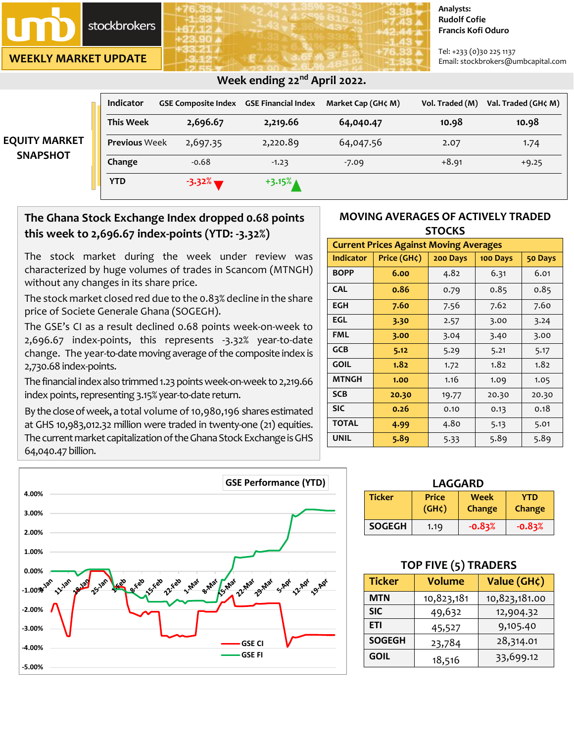**stockbrokers** 

**WEEKLY MARKET UPDATE**

**EQUITY** 

#### **Analysts: Rudolf Cofie Francis Kofi Oduro**

Tel: +233 (0)30 225 1137 Email: stockbrokers@umbcapital.com

|                 | <b>Indicator</b>     | <b>GSE Composite Index</b> | <b>GSE Financial Index</b> | Market Cap (GH¢ M) | Vol. Traded (M) | Val. Traded (GH¢ M) |
|-----------------|----------------------|----------------------------|----------------------------|--------------------|-----------------|---------------------|
|                 | <b>This Week</b>     | 2,696.67                   | 2,219.66                   | 64,040.47          | 10.98           | 10.98               |
| UITY MARKET     | <b>Previous Week</b> | 2,697.35                   | 2,220.89                   | 64,047.56          | 2.07            | 1.74                |
| <b>SNAPSHOT</b> | Change               | $-0.68$                    | $-1.23$                    | $-7.09$            | $+8.91$         | $+9.25$             |
|                 | <b>YTD</b>           | $-3.32\%$                  | $+3.15%$                   |                    |                 |                     |

# **Week ending 22nd April 2022.**

# **The Ghana Stock Exchange Index dropped 0.68 points this week to 2,696.67 index-points (YTD: -3.32%)**

The stock market during the week under review was characterized by huge volumes of trades in Scancom (MTNGH) without any changes in its share price.

The stock market closed red due to the 0.83% decline in the share price of Societe Generale Ghana (SOGEGH).

The GSE's CI as a result declined 0.68 points week-on-week to 2,696.67 index-points, this represents -3.32% year-to-date change. The year-to-date moving average of the composite index is 2,730.68 index-points.

The financial index also trimmed 1.23 points week-on-week to 2,219.66 index points, representing 3.15% year-to-date return.

By the close of week, a total volume of 10,980,196 shares estimated at GHS 10,983,012.32 million were traded in twenty-one (21) equities. The current market capitalization of the Ghana Stock Exchange is GHS 64,040.47 billion.



## **MOVING AVERAGES OF ACTIVELY TRADED STOCKS**

| <b>Current Prices Against Moving Averages</b> |                   |          |          |         |  |  |
|-----------------------------------------------|-------------------|----------|----------|---------|--|--|
| Indicator                                     | Price $(GH\zeta)$ | 200 Days | 100 Days | 50 Days |  |  |
| <b>BOPP</b>                                   | 6.00              | 4.82     | 6.31     | 6.01    |  |  |
| <b>CAL</b>                                    | 0.86              | 0.79     | 0.85     | 0.85    |  |  |
| EGH                                           | 7.60              | 7.56     | 7.62     | 7.60    |  |  |
| EGL                                           | 3.30              | 2.57     | 3.00     | 3.24    |  |  |
| FML                                           | 3.00              | 3.04     | 3.40     | 3.00    |  |  |
| GCB                                           | 5.12              | 5.29     | 5.21     | 5.17    |  |  |
| <b>GOIL</b>                                   | 1.82              | 1.72     | 1.82     | 1.82    |  |  |
| <b>MTNGH</b>                                  | 1.00              | 1.16     | 1.09     | 1.05    |  |  |
| <b>SCB</b>                                    | 20.30             | 19.77    | 20.30    | 20.30   |  |  |
| <b>SIC</b>                                    | 0.26              | 0.10     | 0.13     | 0.18    |  |  |
| <b>TOTAL</b>                                  | 4.99              | 4.80     | 5.13     | 5.01    |  |  |
| <b>UNIL</b>                                   | 5.89              | 5.33     | 5.89     | 5.89    |  |  |

| LAGGARD       |                             |                       |                             |  |  |
|---------------|-----------------------------|-----------------------|-----------------------------|--|--|
| <b>Ticker</b> | <b>Price</b><br>$(GH\zeta)$ | <b>Week</b><br>Change | <b>YTD</b><br><b>Change</b> |  |  |
| <b>SOGEGH</b> | 1.19                        | $-0.83%$              | $-0.83%$                    |  |  |

## **TOP FIVE (5) TRADERS**

| <b>Ticker</b>           | <b>Volume</b> | Value (GH¢)   |  |
|-------------------------|---------------|---------------|--|
| <b>MTN</b>              | 10,823,181    | 10,823,181.00 |  |
| <b>SIC</b>              | 49,632        | 12,904.32     |  |
| <b>ETI</b>              | 45,527        | 9,105.40      |  |
| <b>SOGEGH</b><br>23,784 |               | 28,314.01     |  |
| <b>GOIL</b>             | 18,516        | 33,699.12     |  |